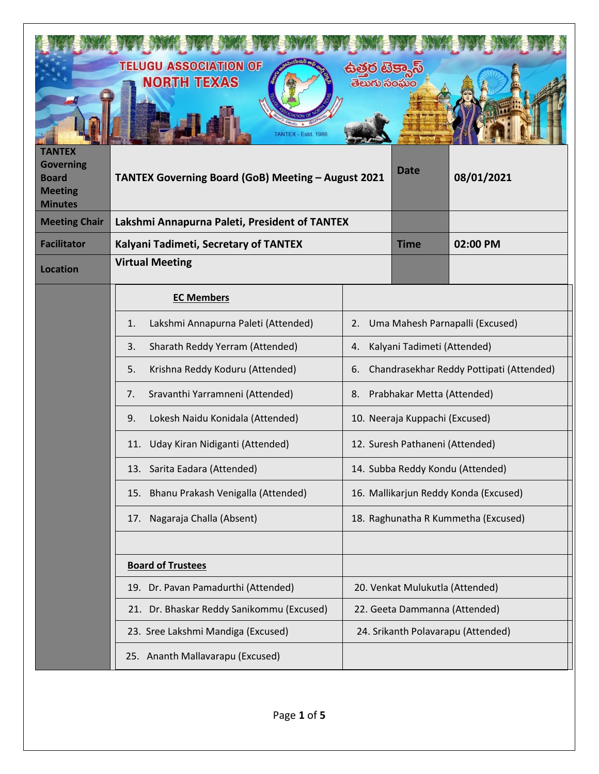| <b>TANTEX</b><br><b>Governing</b><br><b>Board</b><br><b>Meeting</b> | <b>TELUGU ASSOCIATION OF</b><br><b>NORTH TEXAS</b><br><b>Fstd. 1986</b><br>TANTEX Governing Board (GoB) Meeting - August 2021 | ಪರ ಪ್ರಕಾ<br>ತಲುಗು ಸಂఘಂ | <b>Date</b>                              | 08/01/2021 |
|---------------------------------------------------------------------|-------------------------------------------------------------------------------------------------------------------------------|------------------------|------------------------------------------|------------|
| <b>Minutes</b><br><b>Meeting Chair</b>                              | Lakshmi Annapurna Paleti, President of TANTEX                                                                                 |                        |                                          |            |
| <b>Facilitator</b>                                                  | Kalyani Tadimeti, Secretary of TANTEX                                                                                         |                        | <b>Time</b>                              | 02:00 PM   |
| <b>Location</b>                                                     | <b>Virtual Meeting</b>                                                                                                        |                        |                                          |            |
|                                                                     | <b>EC Members</b>                                                                                                             |                        |                                          |            |
|                                                                     | Lakshmi Annapurna Paleti (Attended)<br>1.<br>2.                                                                               |                        | Uma Mahesh Parnapalli (Excused)          |            |
|                                                                     | Sharath Reddy Yerram (Attended)<br>3.<br>4.                                                                                   |                        | Kalyani Tadimeti (Attended)              |            |
|                                                                     | Krishna Reddy Koduru (Attended)<br>5.<br>6.                                                                                   |                        | Chandrasekhar Reddy Pottipati (Attended) |            |
|                                                                     | Sravanthi Yarramneni (Attended)<br>7.<br>8.                                                                                   |                        | Prabhakar Metta (Attended)               |            |
|                                                                     | 9.<br>Lokesh Naidu Konidala (Attended)                                                                                        |                        | 10. Neeraja Kuppachi (Excused)           |            |
|                                                                     | Uday Kiran Nidiganti (Attended)<br>11.                                                                                        |                        | 12. Suresh Pathaneni (Attended)          |            |
|                                                                     | 13. Sarita Eadara (Attended)                                                                                                  |                        | 14. Subba Reddy Kondu (Attended)         |            |
|                                                                     | 15. Bhanu Prakash Venigalla (Attended)                                                                                        |                        | 16. Mallikarjun Reddy Konda (Excused)    |            |
|                                                                     | 17. Nagaraja Challa (Absent)                                                                                                  |                        | 18. Raghunatha R Kummetha (Excused)      |            |
|                                                                     |                                                                                                                               |                        |                                          |            |
|                                                                     | <b>Board of Trustees</b>                                                                                                      |                        |                                          |            |
|                                                                     | 19. Dr. Pavan Pamadurthi (Attended)                                                                                           |                        | 20. Venkat Mulukutla (Attended)          |            |
|                                                                     | 21. Dr. Bhaskar Reddy Sanikommu (Excused)                                                                                     |                        | 22. Geeta Dammanna (Attended)            |            |
|                                                                     | 23. Sree Lakshmi Mandiga (Excused)                                                                                            |                        | 24. Srikanth Polavarapu (Attended)       |            |
|                                                                     | 25. Ananth Mallavarapu (Excused)                                                                                              |                        |                                          |            |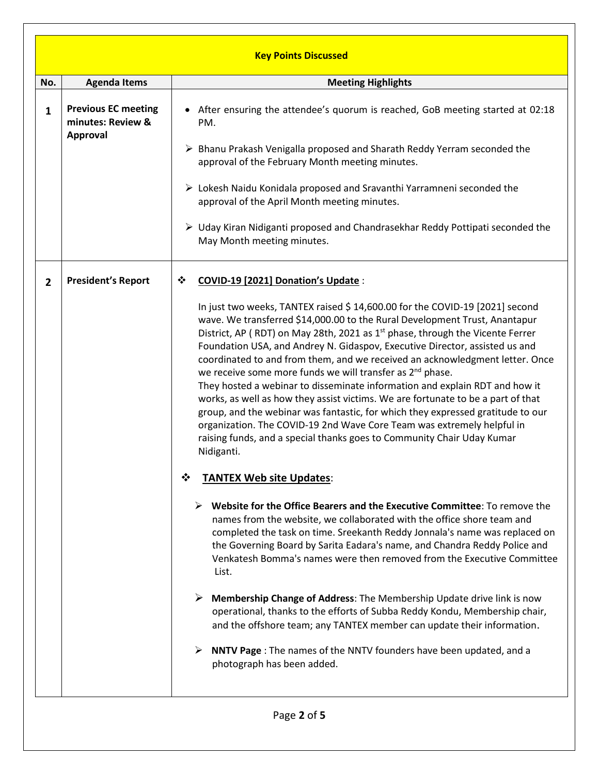|                | <b>Key Points Discussed</b>                                        |                                                                                                                                                                                                                                                                                                                                                                                                                                                                                                                                                                                                                                                                                                                                                                                                                                                                                                                         |  |
|----------------|--------------------------------------------------------------------|-------------------------------------------------------------------------------------------------------------------------------------------------------------------------------------------------------------------------------------------------------------------------------------------------------------------------------------------------------------------------------------------------------------------------------------------------------------------------------------------------------------------------------------------------------------------------------------------------------------------------------------------------------------------------------------------------------------------------------------------------------------------------------------------------------------------------------------------------------------------------------------------------------------------------|--|
| No.            | <b>Agenda Items</b>                                                | <b>Meeting Highlights</b>                                                                                                                                                                                                                                                                                                                                                                                                                                                                                                                                                                                                                                                                                                                                                                                                                                                                                               |  |
| $\mathbf{1}$   | <b>Previous EC meeting</b><br>minutes: Review &<br><b>Approval</b> | • After ensuring the attendee's quorum is reached, GoB meeting started at 02:18<br>PM.                                                                                                                                                                                                                                                                                                                                                                                                                                                                                                                                                                                                                                                                                                                                                                                                                                  |  |
|                |                                                                    | > Bhanu Prakash Venigalla proposed and Sharath Reddy Yerram seconded the<br>approval of the February Month meeting minutes.                                                                                                                                                                                                                                                                                                                                                                                                                                                                                                                                                                                                                                                                                                                                                                                             |  |
|                |                                                                    | $\triangleright$ Lokesh Naidu Konidala proposed and Sravanthi Yarramneni seconded the<br>approval of the April Month meeting minutes.                                                                                                                                                                                                                                                                                                                                                                                                                                                                                                                                                                                                                                                                                                                                                                                   |  |
|                |                                                                    | $\triangleright$ Uday Kiran Nidiganti proposed and Chandrasekhar Reddy Pottipati seconded the<br>May Month meeting minutes.                                                                                                                                                                                                                                                                                                                                                                                                                                                                                                                                                                                                                                                                                                                                                                                             |  |
| $\overline{2}$ | <b>President's Report</b>                                          | COVID-19 [2021] Donation's Update:<br>❖                                                                                                                                                                                                                                                                                                                                                                                                                                                                                                                                                                                                                                                                                                                                                                                                                                                                                 |  |
|                |                                                                    | In just two weeks, TANTEX raised \$ 14,600.00 for the COVID-19 [2021] second<br>wave. We transferred \$14,000.00 to the Rural Development Trust, Anantapur<br>District, AP (RDT) on May 28th, 2021 as 1 <sup>st</sup> phase, through the Vicente Ferrer<br>Foundation USA, and Andrey N. Gidaspov, Executive Director, assisted us and<br>coordinated to and from them, and we received an acknowledgment letter. Once<br>we receive some more funds we will transfer as 2 <sup>nd</sup> phase.<br>They hosted a webinar to disseminate information and explain RDT and how it<br>works, as well as how they assist victims. We are fortunate to be a part of that<br>group, and the webinar was fantastic, for which they expressed gratitude to our<br>organization. The COVID-19 2nd Wave Core Team was extremely helpful in<br>raising funds, and a special thanks goes to Community Chair Uday Kumar<br>Nidiganti. |  |
|                |                                                                    | ❖<br><b>TANTEX Web site Updates:</b>                                                                                                                                                                                                                                                                                                                                                                                                                                                                                                                                                                                                                                                                                                                                                                                                                                                                                    |  |
|                |                                                                    | Website for the Office Bearers and the Executive Committee: To remove the<br>names from the website, we collaborated with the office shore team and<br>completed the task on time. Sreekanth Reddy Jonnala's name was replaced on<br>the Governing Board by Sarita Eadara's name, and Chandra Reddy Police and<br>Venkatesh Bomma's names were then removed from the Executive Committee<br>List.                                                                                                                                                                                                                                                                                                                                                                                                                                                                                                                       |  |
|                |                                                                    | $\triangleright$ Membership Change of Address: The Membership Update drive link is now<br>operational, thanks to the efforts of Subba Reddy Kondu, Membership chair,<br>and the offshore team; any TANTEX member can update their information.                                                                                                                                                                                                                                                                                                                                                                                                                                                                                                                                                                                                                                                                          |  |
|                |                                                                    | <b>NNTV Page</b> : The names of the NNTV founders have been updated, and a<br>photograph has been added.                                                                                                                                                                                                                                                                                                                                                                                                                                                                                                                                                                                                                                                                                                                                                                                                                |  |
|                |                                                                    |                                                                                                                                                                                                                                                                                                                                                                                                                                                                                                                                                                                                                                                                                                                                                                                                                                                                                                                         |  |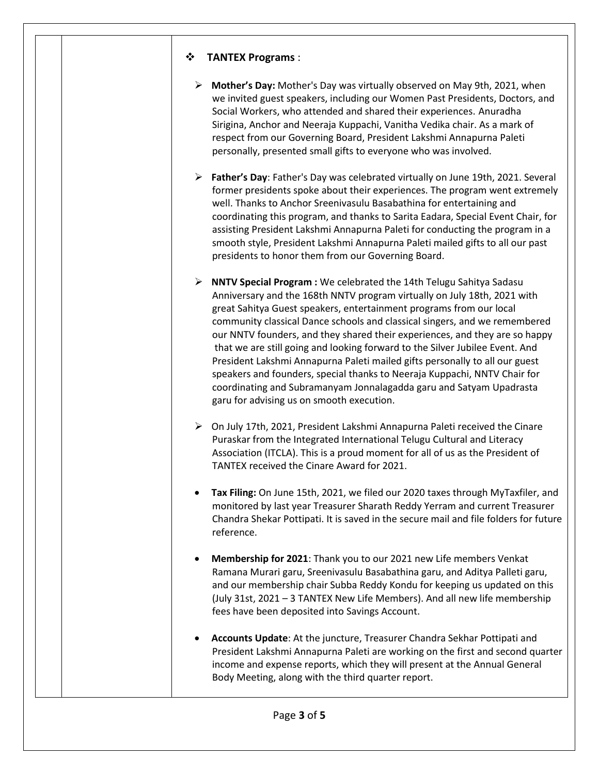## ❖ **TANTEX Programs** :

- ➢ **Mother's Day:** Mother's Day was virtually observed on May 9th, 2021, when we invited guest speakers, including our Women Past Presidents, Doctors, and Social Workers, who attended and shared their experiences. Anuradha Sirigina, Anchor and Neeraja Kuppachi, Vanitha Vedika chair. As a mark of respect from our Governing Board, President Lakshmi Annapurna Paleti personally, presented small gifts to everyone who was involved.
- ➢ **Father's Day**: Father's Day was celebrated virtually on June 19th, 2021. Several former presidents spoke about their experiences. The program went extremely well. Thanks to Anchor Sreenivasulu Basabathina for entertaining and coordinating this program, and thanks to Sarita Eadara, Special Event Chair, for assisting President Lakshmi Annapurna Paleti for conducting the program in a smooth style, President Lakshmi Annapurna Paleti mailed gifts to all our past presidents to honor them from our Governing Board.
- ➢ **NNTV Special Program :** We celebrated the 14th Telugu Sahitya Sadasu Anniversary and the 168th NNTV program virtually on July 18th, 2021 with great Sahitya Guest speakers, entertainment programs from our local community classical Dance schools and classical singers, and we remembered our NNTV founders, and they shared their experiences, and they are so happy that we are still going and looking forward to the Silver Jubilee Event. And President Lakshmi Annapurna Paleti mailed gifts personally to all our guest speakers and founders, special thanks to Neeraja Kuppachi, NNTV Chair for coordinating and Subramanyam Jonnalagadda garu and Satyam Upadrasta garu for advising us on smooth execution.
- ➢ On July 17th, 2021, President Lakshmi Annapurna Paleti received the Cinare Puraskar from the Integrated International Telugu Cultural and Literacy Association (ITCLA). This is a proud moment for all of us as the President of TANTEX received the Cinare Award for 2021.
- **Tax Filing:** On June 15th, 2021, we filed our 2020 taxes through MyTaxfiler, and monitored by last year Treasurer Sharath Reddy Yerram and current Treasurer Chandra Shekar Pottipati. It is saved in the secure mail and file folders for future reference.
- **Membership for 2021**: Thank you to our 2021 new Life members Venkat Ramana Murari garu, Sreenivasulu Basabathina garu, and Aditya Palleti garu, and our membership chair Subba Reddy Kondu for keeping us updated on this (July 31st, 2021 – 3 TANTEX New Life Members). And all new life membership fees have been deposited into Savings Account.
- **Accounts Update**: At the juncture, Treasurer Chandra Sekhar Pottipati and President Lakshmi Annapurna Paleti are working on the first and second quarter income and expense reports, which they will present at the Annual General Body Meeting, along with the third quarter report.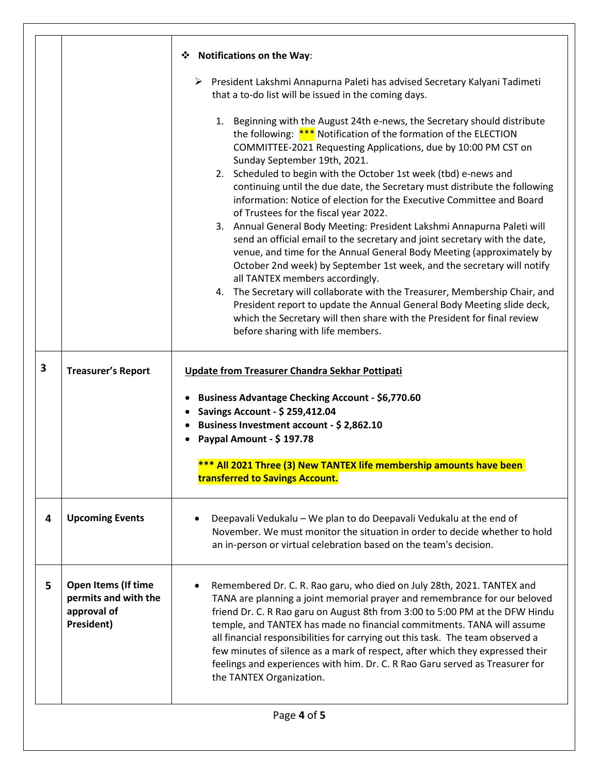|   |                                                                          | ❖ Notifications on the Way:                                                                                                                                                                                                                                                                                                                                                                                                                                                                                                                                                                                                                                                                                                                                                                                                                                                                                                                                                                                                                                                                                                                   |  |
|---|--------------------------------------------------------------------------|-----------------------------------------------------------------------------------------------------------------------------------------------------------------------------------------------------------------------------------------------------------------------------------------------------------------------------------------------------------------------------------------------------------------------------------------------------------------------------------------------------------------------------------------------------------------------------------------------------------------------------------------------------------------------------------------------------------------------------------------------------------------------------------------------------------------------------------------------------------------------------------------------------------------------------------------------------------------------------------------------------------------------------------------------------------------------------------------------------------------------------------------------|--|
|   |                                                                          | ▶ President Lakshmi Annapurna Paleti has advised Secretary Kalyani Tadimeti<br>that a to-do list will be issued in the coming days.                                                                                                                                                                                                                                                                                                                                                                                                                                                                                                                                                                                                                                                                                                                                                                                                                                                                                                                                                                                                           |  |
|   |                                                                          | 1. Beginning with the August 24th e-news, the Secretary should distribute<br>the following: $***$ Notification of the formation of the ELECTION<br>COMMITTEE-2021 Requesting Applications, due by 10:00 PM CST on<br>Sunday September 19th, 2021.<br>2. Scheduled to begin with the October 1st week (tbd) e-news and<br>continuing until the due date, the Secretary must distribute the following<br>information: Notice of election for the Executive Committee and Board<br>of Trustees for the fiscal year 2022.<br>3. Annual General Body Meeting: President Lakshmi Annapurna Paleti will<br>send an official email to the secretary and joint secretary with the date,<br>venue, and time for the Annual General Body Meeting (approximately by<br>October 2nd week) by September 1st week, and the secretary will notify<br>all TANTEX members accordingly.<br>4. The Secretary will collaborate with the Treasurer, Membership Chair, and<br>President report to update the Annual General Body Meeting slide deck,<br>which the Secretary will then share with the President for final review<br>before sharing with life members. |  |
| 3 | <b>Treasurer's Report</b>                                                | Update from Treasurer Chandra Sekhar Pottipati<br><b>Business Advantage Checking Account - \$6,770.60</b><br>٠<br>Savings Account - \$ 259,412.04<br>Business Investment account - \$2,862.10                                                                                                                                                                                                                                                                                                                                                                                                                                                                                                                                                                                                                                                                                                                                                                                                                                                                                                                                                 |  |
|   |                                                                          | Paypal Amount - \$197.78                                                                                                                                                                                                                                                                                                                                                                                                                                                                                                                                                                                                                                                                                                                                                                                                                                                                                                                                                                                                                                                                                                                      |  |
|   |                                                                          | *** All 2021 Three (3) New TANTEX life membership amounts have been<br>transferred to Savings Account.                                                                                                                                                                                                                                                                                                                                                                                                                                                                                                                                                                                                                                                                                                                                                                                                                                                                                                                                                                                                                                        |  |
| 4 | <b>Upcoming Events</b>                                                   | Deepavali Vedukalu - We plan to do Deepavali Vedukalu at the end of<br>November. We must monitor the situation in order to decide whether to hold<br>an in-person or virtual celebration based on the team's decision.                                                                                                                                                                                                                                                                                                                                                                                                                                                                                                                                                                                                                                                                                                                                                                                                                                                                                                                        |  |
| 5 | Open Items (If time<br>permits and with the<br>approval of<br>President) | Remembered Dr. C. R. Rao garu, who died on July 28th, 2021. TANTEX and<br>TANA are planning a joint memorial prayer and remembrance for our beloved<br>friend Dr. C. R Rao garu on August 8th from 3:00 to 5:00 PM at the DFW Hindu<br>temple, and TANTEX has made no financial commitments. TANA will assume<br>all financial responsibilities for carrying out this task. The team observed a<br>few minutes of silence as a mark of respect, after which they expressed their<br>feelings and experiences with him. Dr. C. R Rao Garu served as Treasurer for<br>the TANTEX Organization.                                                                                                                                                                                                                                                                                                                                                                                                                                                                                                                                                  |  |
|   | Page 4 of 5                                                              |                                                                                                                                                                                                                                                                                                                                                                                                                                                                                                                                                                                                                                                                                                                                                                                                                                                                                                                                                                                                                                                                                                                                               |  |